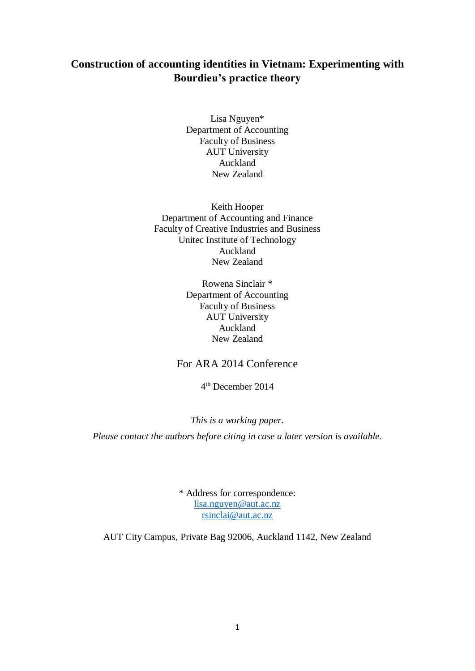## **Construction of accounting identities in Vietnam: Experimenting with Bourdieu's practice theory**

Lisa Nguyen\* Department of Accounting Faculty of Business AUT University Auckland New Zealand

Keith Hooper Department of Accounting and Finance Faculty of Creative Industries and Business Unitec Institute of Technology Auckland New Zealand

> Rowena Sinclair \* Department of Accounting Faculty of Business AUT University Auckland New Zealand

## For ARA 2014 Conference

4 th December 2014

#### *This is a working paper.*

*Please contact the authors before citing in case a later version is available.*

\* Address for correspondence: [lisa.nguyen@aut.ac.nz](mailto:lisa.nguyen@aut.ac.nz) [rsinclai@aut.ac.nz](mailto:rsinclai@aut.ac.nz)

AUT City Campus, Private Bag 92006, Auckland 1142, New Zealand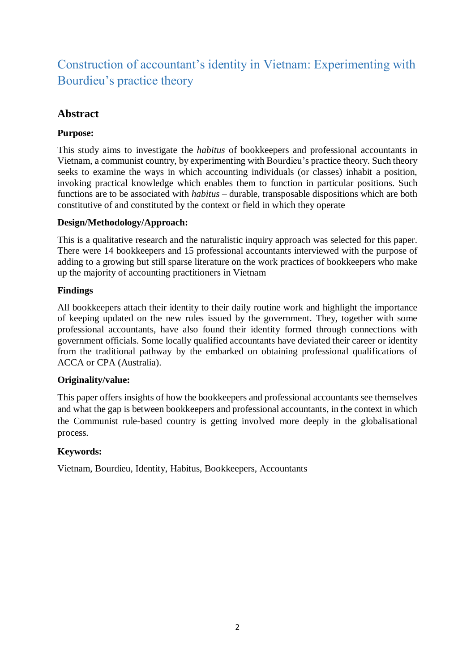# Construction of accountant's identity in Vietnam: Experimenting with Bourdieu's practice theory

## **Abstract**

## **Purpose:**

This study aims to investigate the *habitus* of bookkeepers and professional accountants in Vietnam, a communist country, by experimenting with Bourdieu's practice theory. Such theory seeks to examine the ways in which accounting individuals (or classes) inhabit a position, invoking practical knowledge which enables them to function in particular positions. Such functions are to be associated with *habitus* – durable, transposable dispositions which are both constitutive of and constituted by the context or field in which they operate

### **Design/Methodology/Approach:**

This is a qualitative research and the naturalistic inquiry approach was selected for this paper. There were 14 bookkeepers and 15 professional accountants interviewed with the purpose of adding to a growing but still sparse literature on the work practices of bookkeepers who make up the majority of accounting practitioners in Vietnam

### **Findings**

All bookkeepers attach their identity to their daily routine work and highlight the importance of keeping updated on the new rules issued by the government. They, together with some professional accountants, have also found their identity formed through connections with government officials. Some locally qualified accountants have deviated their career or identity from the traditional pathway by the embarked on obtaining professional qualifications of ACCA or CPA (Australia).

### **Originality/value:**

This paper offers insights of how the bookkeepers and professional accountants see themselves and what the gap is between bookkeepers and professional accountants, in the context in which the Communist rule-based country is getting involved more deeply in the globalisational process.

## **Keywords:**

Vietnam, Bourdieu, Identity, Habitus, Bookkeepers, Accountants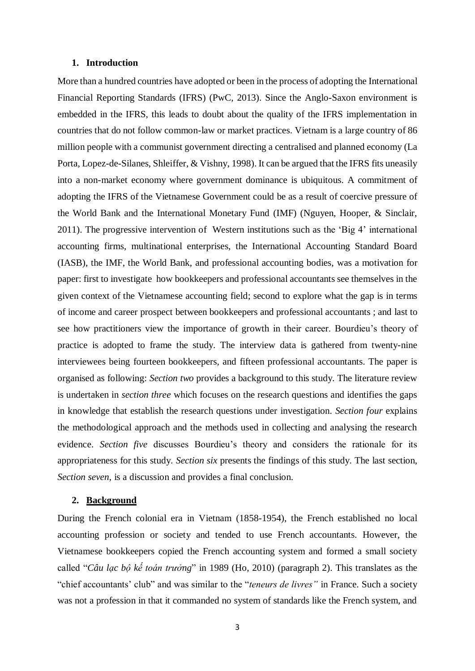#### **1. Introduction**

More than a hundred countries have adopted or been in the process of adopting the International Financial Reporting Standards (IFRS) [\(PwC, 2013\)](#page-21-0). Since the Anglo-Saxon environment is embedded in the IFRS, this leads to doubt about the quality of the IFRS implementation in countries that do not follow common-law or market practices. Vietnam is a large country of 86 million people with a communist government directing a centralised and planned economy [\(La](#page-20-0)  [Porta, Lopez-de-Silanes, Shleiffer, & Vishny, 1998\)](#page-20-0). It can be argued that the IFRS fits uneasily into a non-market economy where government dominance is ubiquitous. A commitment of adopting the IFRS of the Vietnamese Government could be as a result of coercive pressure of the World Bank and the International Monetary Fund (IMF) [\(Nguyen, Hooper, & Sinclair,](#page-20-1)  [2011\)](#page-20-1). The progressive intervention of Western institutions such as the 'Big 4' international accounting firms, multinational enterprises, the International Accounting Standard Board (IASB), the IMF, the World Bank, and professional accounting bodies, was a motivation for paper: first to investigate how bookkeepers and professional accountants see themselves in the given context of the Vietnamese accounting field; second to explore what the gap is in terms of income and career prospect between bookkeepers and professional accountants ; and last to see how practitioners view the importance of growth in their career. Bourdieu's theory of practice is adopted to frame the study. The interview data is gathered from twenty-nine interviewees being fourteen bookkeepers, and fifteen professional accountants. The paper is organised as following: *Section two* provides a background to this study. The literature review is undertaken in *section three* which focuses on the research questions and identifies the gaps in knowledge that establish the research questions under investigation. *Section four* explains the methodological approach and the methods used in collecting and analysing the research evidence. *Section five* discusses Bourdieu's theory and considers the rationale for its appropriateness for this study. *Section six* presents the findings of this study. The last section, *Section seven*, is a discussion and provides a final conclusion.

#### **2. Background**

During the French colonial era in Vietnam (1858-1954), the French established no local accounting profession or society and tended to use French accountants. However, the Vietnamese bookkeepers copied the French accounting system and formed a small society called "*Câu lạc bộ kế toán trưởng*" in 1989 [\(Ho, 2010\)](#page-20-2) (paragraph 2). This translates as the "chief accountants' club" and was similar to the "*teneurs de livres"* in France. Such a society was not a profession in that it commanded no system of standards like the French system, and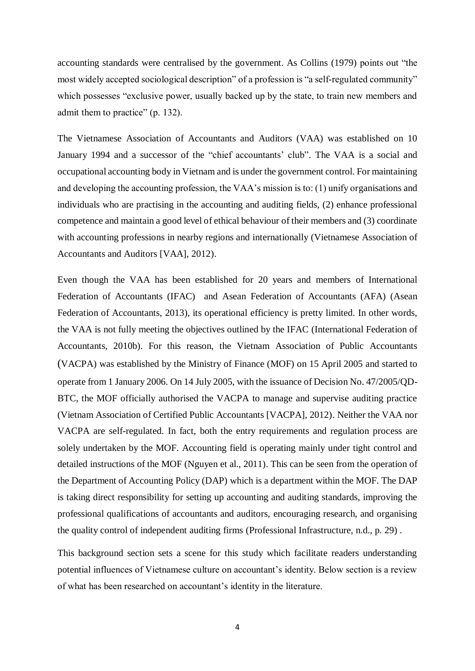accounting standards were centralised by the government. As Collins [\(1979\)](#page-19-0) points out "the most widely accepted sociological description" of a profession is "a self-regulated community" which possesses "exclusive power, usually backed up by the state, to train new members and admit them to practice" (p. 132).

The Vietnamese Association of Accountants and Auditors (VAA) was established on 10 January 1994 and a successor of the "chief accountants' club". The VAA is a social and occupational accounting body in Vietnam and is under the government control. For maintaining and developing the accounting profession, the VAA's mission is to: (1) unify organisations and individuals who are practising in the accounting and auditing fields, (2) enhance professional competence and maintain a good level of ethical behaviour of their members and (3) coordinate with accounting professions in nearby regions and internationally [\(Vietnamese Association of](#page-21-1)  [Accountants and Auditors \[VAA\], 2012\)](#page-21-1).

Even though the VAA has been established for 20 years and members of International Federation of Accountants (IFAC) and Asean Federation of Accountants (AFA) [\(Asean](#page-19-1)  [Federation of Accountants, 2013\)](#page-19-1), its operational efficiency is pretty limited. In other words, the VAA is not fully meeting the objectives outlined by the IFAC [\(International Federation of](#page-20-3)  [Accountants,](#page-20-3) 2010b). For this reason, the Vietnam Association of Public Accountants (VACPA) was established by the Ministry of Finance (MOF) on 15 April 2005 and started to operate from 1 January 2006. On 14 July 2005, with the issuance of Decision No. 47/2005/QD-BTC, the MOF officially authorised the VACPA to manage and supervise auditing practice (Vietnam Association of Certified Public Accountants [VACPA], 2012). Neither the VAA nor VACPA are self-regulated. In fact, both the entry requirements and regulation process are solely undertaken by the MOF. Accounting field is operating mainly under tight control and detailed instructions of the MOF [\(Nguyen et al., 2011\)](#page-20-1). This can be seen from the operation of the Department of Accounting Policy (DAP) which is a department within the MOF. The DAP is taking direct responsibility for setting up accounting and auditing standards, improving the professional qualifications of accountants and auditors, encouraging research, and organising the quality control of independent auditing firms [\(Professional Infrastructure, n.d., p. 29\)](#page-21-2) .

This background section sets a scene for this study which facilitate readers understanding potential influences of Vietnamese culture on accountant's identity. Below section is a review of what has been researched on accountant's identity in the literature.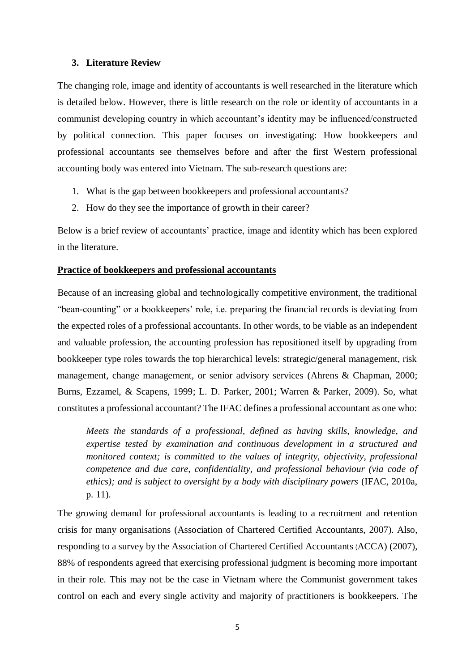#### **3. Literature Review**

The changing role, image and identity of accountants is well researched in the literature which is detailed below. However, there is little research on the role or identity of accountants in a communist developing country in which accountant's identity may be influenced/constructed by political connection. This paper focuses on investigating: How bookkeepers and professional accountants see themselves before and after the first Western professional accounting body was entered into Vietnam. The sub-research questions are:

- 1. What is the gap between bookkeepers and professional accountants?
- 2. How do they see the importance of growth in their career?

Below is a brief review of accountants' practice, image and identity which has been explored in the literature.

#### **Practice of bookkeepers and professional accountants**

Because of an increasing global and technologically competitive environment, the traditional "bean-counting" or a bookkeepers' role, i.e. preparing the financial records is deviating from the expected roles of a professional accountants. In other words, to be viable as an independent and valuable profession, the accounting profession has repositioned itself by upgrading from bookkeeper type roles towards the top hierarchical levels: strategic/general management, risk management, change management, or senior advisory services [\(Ahrens & Chapman, 2000;](#page-18-0) [Burns, Ezzamel, & Scapens, 1999;](#page-19-2) [L. D. Parker, 2001;](#page-20-4) [Warren & Parker, 2009\)](#page-21-3). So, what constitutes a professional accountant? The IFAC defines a professional accountant as one who:

*Meets the standards of a professional, defined as having skills, knowledge, and expertise tested by examination and continuous development in a structured and monitored context; is committed to the values of integrity, objectivity, professional competence and due care, confidentiality, and professional behaviour (via code of ethics); and is subject to oversight by a body with disciplinary powers* [\(IFAC, 2010a,](#page-20-5)  [p. 11\)](#page-20-5).

The growing demand for professional accountants is leading to a recruitment and retention crisis for many organisations [\(Association of Chartered Certified Accountants, 2007\)](#page-19-3). Also, responding to a survey by the Association of Chartered Certified Accountants(ACCA) [\(2007\)](#page-19-3), 88% of respondents agreed that exercising professional judgment is becoming more important in their role. This may not be the case in Vietnam where the Communist government takes control on each and every single activity and majority of practitioners is bookkeepers. The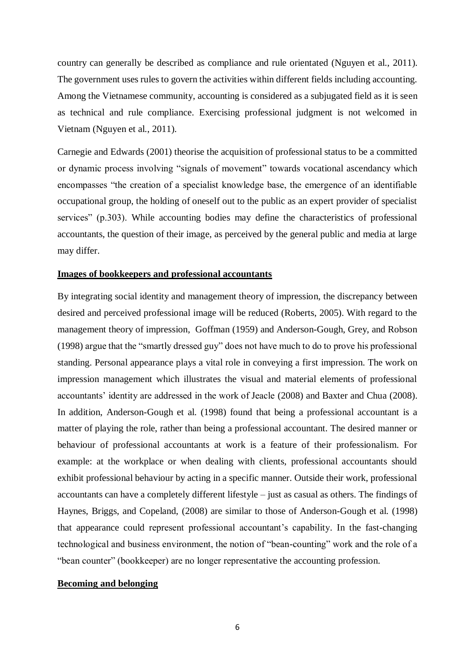country can generally be described as compliance and rule orientated [\(Nguyen et al., 2011\)](#page-20-1). The government uses rules to govern the activities within different fields including accounting. Among the Vietnamese community, accounting is considered as a subjugated field as it is seen as technical and rule compliance. Exercising professional judgment is not welcomed in Vietnam [\(Nguyen et al., 2011\)](#page-20-1).

Carnegie and Edwards [\(2001\)](#page-19-4) theorise the acquisition of professional status to be a committed or dynamic process involving "signals of movement" towards vocational ascendancy which encompasses "the creation of a specialist knowledge base, the emergence of an identifiable occupational group, the holding of oneself out to the public as an expert provider of specialist services" (p.303). While accounting bodies may define the characteristics of professional accountants, the question of their image, as perceived by the general public and media at large may differ.

#### **Images of bookkeepers and professional accountants**

By integrating social identity and management theory of impression, the discrepancy between desired and perceived professional image will be reduced (Roberts, 2005). With regard to the management theory of impression, Goffman [\(1959\)](#page-20-6) and Anderson-Gough, Grey, and Robson [\(1998\)](#page-18-1) argue that the "smartly dressed guy" does not have much to do to prove his professional standing. Personal appearance plays a vital role in conveying a first impression. The work on impression management which illustrates the visual and material elements of professional accountants' identity are addressed in the work of Jeacle [\(2008\)](#page-20-7) and Baxter and Chua [\(2008\)](#page-19-5). In addition, Anderson-Gough et al. [\(1998\)](#page-18-1) found that being a professional accountant is a matter of playing the role, rather than being a professional accountant. The desired manner or behaviour of professional accountants at work is a feature of their professionalism. For example: at the workplace or when dealing with clients, professional accountants should exhibit professional behaviour by acting in a specific manner. Outside their work, professional accountants can have a completely different lifestyle – just as casual as others. The findings of Haynes, Briggs, and Copeland, [\(2008\)](#page-20-8) are similar to those of Anderson-Gough et al. [\(1998\)](#page-18-1) that appearance could represent professional accountant's capability. In the fast-changing technological and business environment, the notion of "bean-counting" work and the role of a "bean counter" (bookkeeper) are no longer representative the accounting profession.

#### **Becoming and belonging**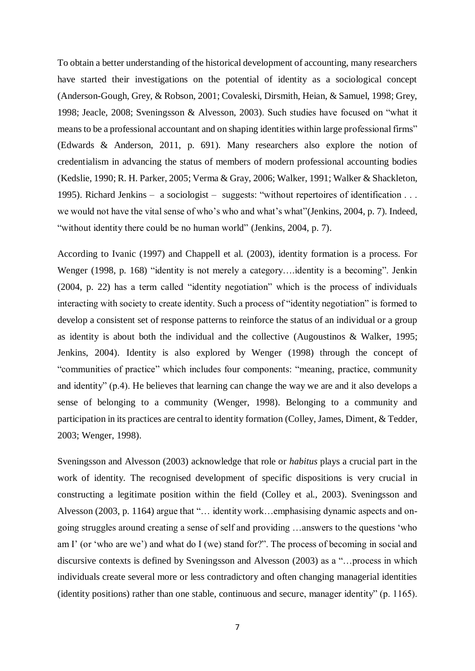To obtain a better understanding of the historical development of accounting, many researchers have started their investigations on the potential of identity as a sociological concept [\(Anderson-Gough, Grey, & Robson, 2001;](#page-18-2) [Covaleski, Dirsmith, Heian, & Samuel, 1998;](#page-19-6) [Grey,](#page-20-9)  [1998;](#page-20-9) [Jeacle, 2008;](#page-20-7) [Sveningsson & Alvesson, 2003\)](#page-21-4). Such studies have focused on "what it means to be a professional accountant and on shaping identities within large professional firms" [\(Edwards & Anderson, 2011, p. 691\)](#page-19-7). Many researchers also explore the notion of credentialism in advancing the status of members of modern professional accounting bodies [\(Kedslie, 1990;](#page-20-10) [R. H. Parker, 2005;](#page-20-11) [Verma & Gray, 2006;](#page-21-5) [Walker, 1991;](#page-21-6) [Walker & Shackleton,](#page-21-7)  [1995\)](#page-21-7). Richard Jenkins – a sociologist – suggests: "without repertoires of identification . . . we would not have the vital sense of who's who and what's what"[\(Jenkins, 2004, p. 7\)](#page-20-12). Indeed, "without identity there could be no human world" [\(Jenkins, 2004, p. 7\)](#page-20-12).

According to Ivanic [\(1997\)](#page-20-13) and Chappell et al. [\(2003\)](#page-19-8), identity formation is a process. For Wenger [\(1998, p. 168\)](#page-21-8) "identity is not merely a category….identity is a becoming". Jenkin [\(2004, p. 22\)](#page-20-12) has a term called "identity negotiation" which is the process of individuals interacting with society to create identity. Such a process of "identity negotiation" is formed to develop a consistent set of response patterns to reinforce the status of an individual or a group as identity is about both the individual and the collective [\(Augoustinos & Walker, 1995;](#page-19-9) [Jenkins, 2004\)](#page-20-12). Identity is also explored by Wenger [\(1998\)](#page-21-8) through the concept of "communities of practice" which includes four components: "meaning, practice, community and identity" (p.4). He believes that learning can change the way we are and it also develops a sense of belonging to a community [\(Wenger, 1998\)](#page-21-8). Belonging to a community and participation in its practices are central to identity formation [\(Colley, James, Diment, & Tedder,](#page-19-10)  [2003;](#page-19-10) [Wenger, 1998\)](#page-21-8).

Sveningsson and Alvesson (2003) acknowledge that role or *habitus* plays a crucial part in the work of identity. The recognised development of specific dispositions is very crucial in constructing a legitimate position within the field [\(Colley et al., 2003\)](#page-19-10). Sveningsson and Alvesson [\(2003, p. 1164\)](#page-21-4) argue that "… identity work…emphasising dynamic aspects and ongoing struggles around creating a sense of self and providing …answers to the questions 'who am I' (or 'who are we') and what do I (we) stand for?". The process of becoming in social and discursive contexts is defined by Sveningsson and Alvesson [\(2003\)](#page-21-4) as a "…process in which individuals create several more or less contradictory and often changing managerial identities (identity positions) rather than one stable, continuous and secure, manager identity" (p. 1165).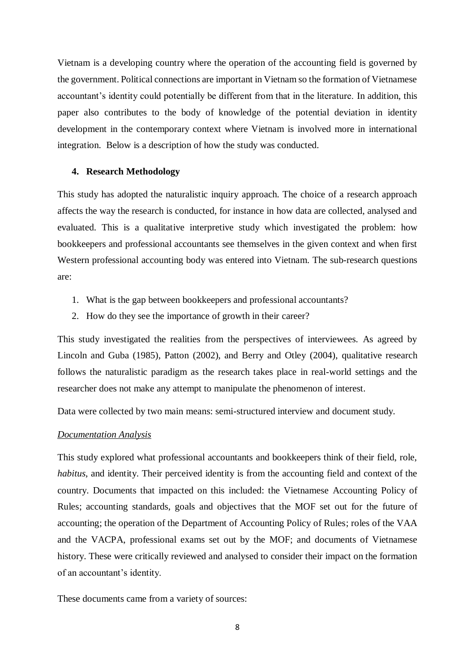Vietnam is a developing country where the operation of the accounting field is governed by the government. Political connections are important in Vietnam so the formation of Vietnamese accountant's identity could potentially be different from that in the literature. In addition, this paper also contributes to the body of knowledge of the potential deviation in identity development in the contemporary context where Vietnam is involved more in international integration. Below is a description of how the study was conducted.

#### **4. Research Methodology**

This study has adopted the naturalistic inquiry approach. The choice of a research approach affects the way the research is conducted, for instance in how data are collected, analysed and evaluated. This is a qualitative interpretive study which investigated the problem: how bookkeepers and professional accountants see themselves in the given context and when first Western professional accounting body was entered into Vietnam. The sub-research questions are:

- 1. What is the gap between bookkeepers and professional accountants?
- 2. How do they see the importance of growth in their career?

This study investigated the realities from the perspectives of interviewees. As agreed by Lincoln and Guba (1985), Patton [\(2002\)](#page-20-14), and Berry and Otley [\(2004\)](#page-19-11), qualitative research follows the naturalistic paradigm as the research takes place in real-world settings and the researcher does not make any attempt to manipulate the phenomenon of interest.

Data were collected by two main means: semi-structured interview and document study.

#### *Documentation Analysis*

This study explored what professional accountants and bookkeepers think of their field, role, *habitus*, and identity. Their perceived identity is from the accounting field and context of the country. Documents that impacted on this included: the Vietnamese Accounting Policy of Rules; accounting standards, goals and objectives that the MOF set out for the future of accounting; the operation of the Department of Accounting Policy of Rules; roles of the VAA and the VACPA, professional exams set out by the MOF; and documents of Vietnamese history. These were critically reviewed and analysed to consider their impact on the formation of an accountant's identity.

These documents came from a variety of sources: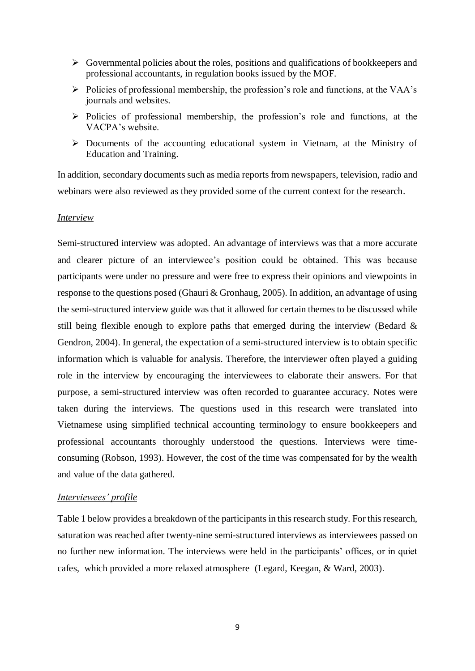- $\triangleright$  Governmental policies about the roles, positions and qualifications of bookkeepers and professional accountants, in regulation books issued by the MOF.
- $\triangleright$  Policies of professional membership, the profession's role and functions, at the VAA's journals and websites.
- $\triangleright$  Policies of professional membership, the profession's role and functions, at the VACPA's website.
- Documents of the accounting educational system in Vietnam, at the Ministry of Education and Training.

In addition, secondary documents such as media reports from newspapers, television, radio and webinars were also reviewed as they provided some of the current context for the research.

#### *Interview*

Semi-structured interview was adopted. An advantage of interviews was that a more accurate and clearer picture of an interviewee's position could be obtained. This was because participants were under no pressure and were free to express their opinions and viewpoints in response to the questions posed [\(Ghauri & Gronhaug, 2005\)](#page-20-15). In addition, an advantage of using the semi-structured interview guide was that it allowed for certain themes to be discussed while still being flexible enough to explore paths that emerged during the interview [\(Bedard &](#page-19-12)  [Gendron, 2004\)](#page-19-12). In general, the expectation of a semi-structured interview is to obtain specific information which is valuable for analysis. Therefore, the interviewer often played a guiding role in the interview by encouraging the interviewees to elaborate their answers. For that purpose, a semi-structured interview was often recorded to guarantee accuracy. Notes were taken during the interviews. The questions used in this research were translated into Vietnamese using simplified technical accounting terminology to ensure bookkeepers and professional accountants thoroughly understood the questions. Interviews were timeconsuming [\(Robson, 1993\)](#page-21-9). However, the cost of the time was compensated for by the wealth and value of the data gathered.

#### *Interviewees' profile*

Table 1 below provides a breakdown of the participants in this research study. For this research, saturation was reached after twenty-nine semi-structured interviews as interviewees passed on no further new information. The interviews were held in the participants' offices, or in quiet cafes, which provided a more relaxed atmosphere [\(Legard, Keegan, & Ward, 2003\)](#page-20-16).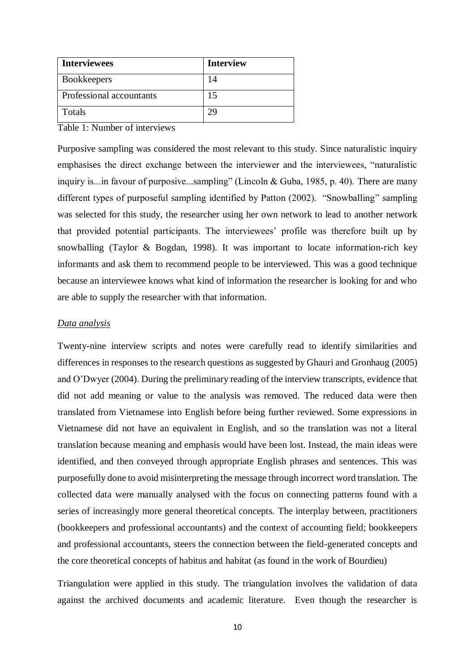| <b>Interviewees</b>      | <b>Interview</b> |
|--------------------------|------------------|
| <b>Bookkeepers</b>       | 14               |
| Professional accountants | 15               |
| Totals                   |                  |

Table 1: Number of interviews

Purposive sampling was considered the most relevant to this study. Since naturalistic inquiry emphasises the direct exchange between the interviewer and the interviewees, "naturalistic inquiry is...in favour of purposive...sampling" (Lincoln & Guba, 1985, p. 40). There are many different types of purposeful sampling identified by Patton (2002). "Snowballing" sampling was selected for this study, the researcher using her own network to lead to another network that provided potential participants. The interviewees' profile was therefore built up by snowballing [\(Taylor & Bogdan, 1998\)](#page-21-10). It was important to locate information-rich key informants and ask them to recommend people to be interviewed. This was a good technique because an interviewee knows what kind of information the researcher is looking for and who are able to supply the researcher with that information.

#### *Data analysis*

Twenty-nine interview scripts and notes were carefully read to identify similarities and differences in responses to the research questions as suggested by Ghauri and Gronhaug [\(2005\)](#page-20-15) and O'Dwyer [\(2004\)](#page-20-17). During the preliminary reading of the interview transcripts, evidence that did not add meaning or value to the analysis was removed. The reduced data were then translated from Vietnamese into English before being further reviewed. Some expressions in Vietnamese did not have an equivalent in English, and so the translation was not a literal translation because meaning and emphasis would have been lost. Instead, the main ideas were identified, and then conveyed through appropriate English phrases and sentences. This was purposefully done to avoid misinterpreting the message through incorrect word translation. The collected data were manually analysed with the focus on connecting patterns found with a series of increasingly more general theoretical concepts. The interplay between, practitioners (bookkeepers and professional accountants) and the context of accounting field; bookkeepers and professional accountants, steers the connection between the field-generated concepts and the core theoretical concepts of habitus and habitat (as found in the work of Bourdieu)

Triangulation were applied in this study. The triangulation involves the validation of data against the archived documents and academic literature. Even though the researcher is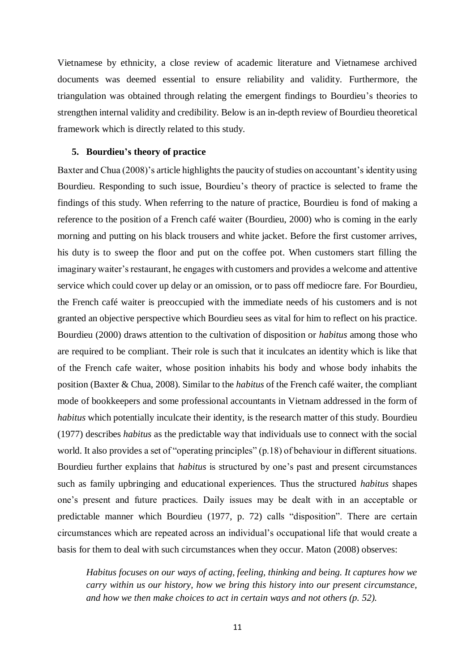Vietnamese by ethnicity, a close review of academic literature and Vietnamese archived documents was deemed essential to ensure reliability and validity. Furthermore, the triangulation was obtained through relating the emergent findings to Bourdieu's theories to strengthen internal validity and credibility. Below is an in-depth review of Bourdieu theoretical framework which is directly related to this study.

#### **5. Bourdieu's theory of practice**

Baxter and Chua (2008)'s article highlights the paucity of studies on accountant's identity using Bourdieu. Responding to such issue, Bourdieu's theory of practice is selected to frame the findings of this study. When referring to the nature of practice, Bourdieu is fond of making a reference to the position of a French café waiter [\(Bourdieu, 2000\)](#page-19-13) who is coming in the early morning and putting on his black trousers and white jacket. Before the first customer arrives, his duty is to sweep the floor and put on the coffee pot. When customers start filling the imaginary waiter's restaurant, he engages with customers and provides a welcome and attentive service which could cover up delay or an omission, or to pass off mediocre fare. For Bourdieu, the French café waiter is preoccupied with the immediate needs of his customers and is not granted an objective perspective which Bourdieu sees as vital for him to reflect on his practice. Bourdieu [\(2000\)](#page-19-13) draws attention to the cultivation of disposition or *habitus* among those who are required to be compliant. Their role is such that it inculcates an identity which is like that of the French cafe waiter, whose position inhabits his body and whose body inhabits the position [\(Baxter & Chua, 2008\)](#page-19-5). Similar to the *habitus* of the French café waiter, the compliant mode of bookkeepers and some professional accountants in Vietnam addressed in the form of *habitus* which potentially inculcate their identity, is the research matter of this study. Bourdieu [\(1977\)](#page-19-14) describes *habitus* as the predictable way that individuals use to connect with the social world. It also provides a set of "operating principles" (p.18) of behaviour in different situations. Bourdieu further explains that *habitus* is structured by one's past and present circumstances such as family upbringing and educational experiences. Thus the structured *habitus* shapes one's present and future practices. Daily issues may be dealt with in an acceptable or predictable manner which Bourdieu [\(1977, p. 72\)](#page-19-14) calls "disposition". There are certain circumstances which are repeated across an individual's occupational life that would create a basis for them to deal with such circumstances when they occur. Maton [\(2008\)](#page-20-18) observes:

*Habitus focuses on our ways of acting, feeling, thinking and being. It captures how we carry within us our history, how we bring this history into our present circumstance, and how we then make choices to act in certain ways and not others (p. 52).*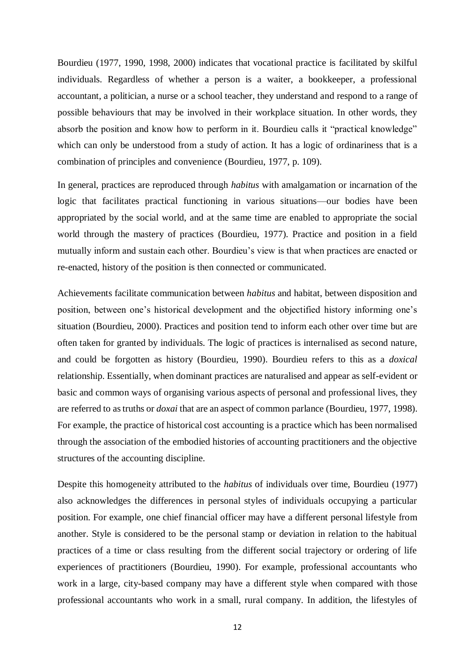Bourdieu [\(1977,](#page-19-14) [1990,](#page-19-15) [1998,](#page-19-16) [2000\)](#page-19-13) indicates that vocational practice is facilitated by skilful individuals. Regardless of whether a person is a waiter, a bookkeeper, a professional accountant, a politician, a nurse or a school teacher, they understand and respond to a range of possible behaviours that may be involved in their workplace situation. In other words, they absorb the position and know how to perform in it. Bourdieu calls it "practical knowledge" which can only be understood from a study of action. It has a logic of ordinariness that is a combination of principles and convenience [\(Bourdieu, 1977, p. 109\)](#page-19-14).

In general, practices are reproduced through *habitus* with amalgamation or incarnation of the logic that facilitates practical functioning in various situations—our bodies have been appropriated by the social world, and at the same time are enabled to appropriate the social world through the mastery of practices [\(Bourdieu, 1977\)](#page-19-14). Practice and position in a field mutually inform and sustain each other. Bourdieu's view is that when practices are enacted or re-enacted, history of the position is then connected or communicated.

Achievements facilitate communication between *habitus* and habitat, between disposition and position, between one's historical development and the objectified history informing one's situation [\(Bourdieu, 2000\)](#page-19-13). Practices and position tend to inform each other over time but are often taken for granted by individuals. The logic of practices is internalised as second nature, and could be forgotten as history [\(Bourdieu, 1990\)](#page-19-15). Bourdieu refers to this as a *doxical* relationship. Essentially, when dominant practices are naturalised and appear as self-evident or basic and common ways of organising various aspects of personal and professional lives, they are referred to as truths or *doxai* that are an aspect of common parlance [\(Bourdieu, 1977,](#page-19-14) [1998\)](#page-19-16). For example, the practice of historical cost accounting is a practice which has been normalised through the association of the embodied histories of accounting practitioners and the objective structures of the accounting discipline.

Despite this homogeneity attributed to the *habitus* of individuals over time, Bourdieu [\(1977\)](#page-19-14) also acknowledges the differences in personal styles of individuals occupying a particular position. For example, one chief financial officer may have a different personal lifestyle from another. Style is considered to be the personal stamp or deviation in relation to the habitual practices of a time or class resulting from the different social trajectory or ordering of life experiences of practitioners [\(Bourdieu, 1990\)](#page-19-15). For example, professional accountants who work in a large, city-based company may have a different style when compared with those professional accountants who work in a small, rural company. In addition, the lifestyles of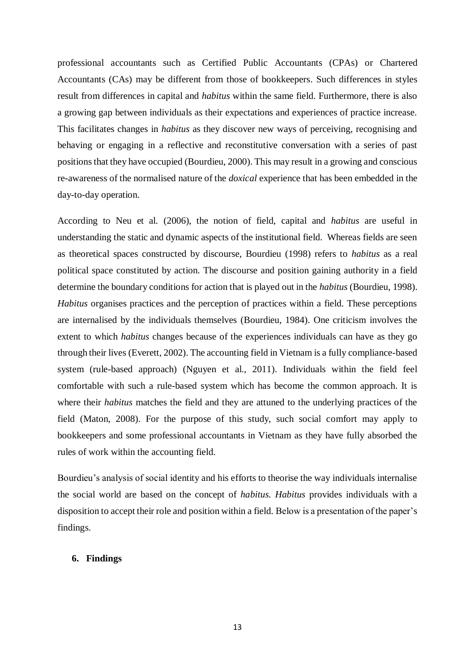professional accountants such as Certified Public Accountants (CPAs) or Chartered Accountants (CAs) may be different from those of bookkeepers. Such differences in styles result from differences in capital and *habitus* within the same field. Furthermore, there is also a growing gap between individuals as their expectations and experiences of practice increase. This facilitates changes in *habitus* as they discover new ways of perceiving, recognising and behaving or engaging in a reflective and reconstitutive conversation with a series of past positions that they have occupied [\(Bourdieu, 2000\)](#page-19-13). This may result in a growing and conscious re-awareness of the normalised nature of the *doxical* experience that has been embedded in the day-to-day operation.

According to Neu et al. [\(2006\)](#page-20-19), the notion of field, capital and *habitus* are useful in understanding the static and dynamic aspects of the institutional field. Whereas fields are seen as theoretical spaces constructed by discourse, Bourdieu [\(1998\)](#page-19-16) refers to *habitus* as a real political space constituted by action. The discourse and position gaining authority in a field determine the boundary conditions for action that is played out in the *habitus* [\(Bourdieu, 1998\)](#page-19-16). *Habitus* organises practices and the perception of practices within a field. These perceptions are internalised by the individuals themselves [\(Bourdieu, 1984\)](#page-19-17). One criticism involves the extent to which *habitus* changes because of the experiences individuals can have as they go through their lives [\(Everett, 2002\)](#page-19-18). The accounting field in Vietnam is a fully compliance-based system (rule-based approach) [\(Nguyen et al., 2011\)](#page-20-1). Individuals within the field feel comfortable with such a rule-based system which has become the common approach. It is where their *habitus* matches the field and they are attuned to the underlying practices of the field [\(Maton, 2008\)](#page-20-18). For the purpose of this study, such social comfort may apply to bookkeepers and some professional accountants in Vietnam as they have fully absorbed the rules of work within the accounting field.

Bourdieu's analysis of social identity and his efforts to theorise the way individuals internalise the social world are based on the concept of *habitus. Habitus* provides individuals with a disposition to accept their role and position within a field. Below is a presentation of the paper's findings.

#### **6. Findings**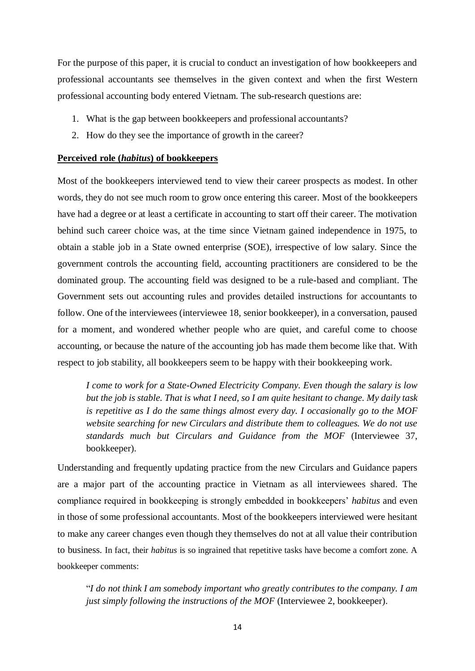For the purpose of this paper, it is crucial to conduct an investigation of how bookkeepers and professional accountants see themselves in the given context and when the first Western professional accounting body entered Vietnam. The sub-research questions are:

- 1. What is the gap between bookkeepers and professional accountants?
- 2. How do they see the importance of growth in the career?

#### **Perceived role (***habitus***) of bookkeepers**

Most of the bookkeepers interviewed tend to view their career prospects as modest. In other words, they do not see much room to grow once entering this career. Most of the bookkeepers have had a degree or at least a certificate in accounting to start off their career. The motivation behind such career choice was, at the time since Vietnam gained independence in 1975, to obtain a stable job in a State owned enterprise (SOE), irrespective of low salary. Since the government controls the accounting field, accounting practitioners are considered to be the dominated group. The accounting field was designed to be a rule-based and compliant. The Government sets out accounting rules and provides detailed instructions for accountants to follow. One of the interviewees (interviewee 18, senior bookkeeper), in a conversation, paused for a moment, and wondered whether people who are quiet, and careful come to choose accounting, or because the nature of the accounting job has made them become like that. With respect to job stability, all bookkeepers seem to be happy with their bookkeeping work.

*I come to work for a State-Owned Electricity Company. Even though the salary is low but the job is stable. That is what I need, so I am quite hesitant to change. My daily task is repetitive as I do the same things almost every day. I occasionally go to the MOF website searching for new Circulars and distribute them to colleagues. We do not use standards much but Circulars and Guidance from the MOF* (Interviewee 37, bookkeeper).

Understanding and frequently updating practice from the new Circulars and Guidance papers are a major part of the accounting practice in Vietnam as all interviewees shared. The compliance required in bookkeeping is strongly embedded in bookkeepers' *habitus* and even in those of some professional accountants. Most of the bookkeepers interviewed were hesitant to make any career changes even though they themselves do not at all value their contribution to business. In fact, their *habitus* is so ingrained that repetitive tasks have become a comfort zone. A bookkeeper comments:

"*I do not think I am somebody important who greatly contributes to the company. I am just simply following the instructions of the MOF* (Interviewee 2, bookkeeper).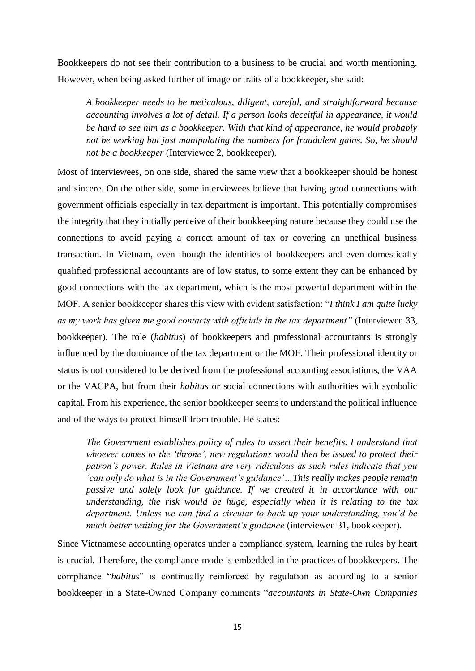Bookkeepers do not see their contribution to a business to be crucial and worth mentioning. However, when being asked further of image or traits of a bookkeeper, she said:

*A bookkeeper needs to be meticulous, diligent, careful, and straightforward because accounting involves a lot of detail. If a person looks deceitful in appearance, it would be hard to see him as a bookkeeper. With that kind of appearance, he would probably not be working but just manipulating the numbers for fraudulent gains. So, he should not be a bookkeeper* (Interviewee 2, bookkeeper).

Most of interviewees, on one side, shared the same view that a bookkeeper should be honest and sincere. On the other side, some interviewees believe that having good connections with government officials especially in tax department is important. This potentially compromises the integrity that they initially perceive of their bookkeeping nature because they could use the connections to avoid paying a correct amount of tax or covering an unethical business transaction. In Vietnam, even though the identities of bookkeepers and even domestically qualified professional accountants are of low status, to some extent they can be enhanced by good connections with the tax department, which is the most powerful department within the MOF. A senior bookkeeper shares this view with evident satisfaction: "*I think I am quite lucky as my work has given me good contacts with officials in the tax department"* (Interviewee 33, bookkeeper). The role (*habitus*) of bookkeepers and professional accountants is strongly influenced by the dominance of the tax department or the MOF. Their professional identity or status is not considered to be derived from the professional accounting associations, the VAA or the VACPA, but from their *habitus* or social connections with authorities with symbolic capital. From his experience, the senior bookkeeper seems to understand the political influence and of the ways to protect himself from trouble. He states:

*The Government establishes policy of rules to assert their benefits. I understand that whoever comes to the 'throne', new regulations would then be issued to protect their patron's power. Rules in Vietnam are very ridiculous as such rules indicate that you 'can only do what is in the Government's guidance'…This really makes people remain passive and solely look for guidance. If we created it in accordance with our understanding, the risk would be huge, especially when it is relating to the tax department. Unless we can find a circular to back up your understanding, you'd be much better waiting for the Government's guidance* (interviewee 31, bookkeeper).

Since Vietnamese accounting operates under a compliance system, learning the rules by heart is crucial. Therefore, the compliance mode is embedded in the practices of bookkeepers. The compliance "*habitus*" is continually reinforced by regulation as according to a senior bookkeeper in a State-Owned Company comments "*accountants in State-Own Companies*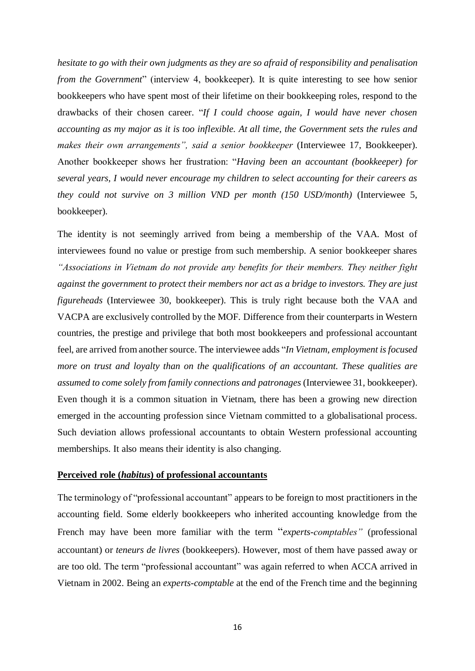*hesitate to go with their own judgments as they are so afraid of responsibility and penalisation from the Government*" (interview 4, bookkeeper). It is quite interesting to see how senior bookkeepers who have spent most of their lifetime on their bookkeeping roles, respond to the drawbacks of their chosen career. "*If I could choose again, I would have never chosen accounting as my major as it is too inflexible. At all time, the Government sets the rules and makes their own arrangements", said a senior bookkeeper* (Interviewee 17, Bookkeeper). Another bookkeeper shows her frustration: "*Having been an accountant (bookkeeper) for several years, I would never encourage my children to select accounting for their careers as they could not survive on 3 million VND per month (150 USD/month)* (Interviewee 5, bookkeeper).

The identity is not seemingly arrived from being a membership of the VAA. Most of interviewees found no value or prestige from such membership. A senior bookkeeper shares *"Associations in Vietnam do not provide any benefits for their members. They neither fight against the government to protect their members nor act as a bridge to investors. They are just figureheads* (Interviewee 30, bookkeeper). This is truly right because both the VAA and VACPA are exclusively controlled by the MOF. Difference from their counterparts in Western countries, the prestige and privilege that both most bookkeepers and professional accountant feel, are arrived from another source. The interviewee adds "*In Vietnam, employment is focused more on trust and loyalty than on the qualifications of an accountant. These qualities are assumed to come solely from family connections and patronages* (Interviewee 31, bookkeeper). Even though it is a common situation in Vietnam, there has been a growing new direction emerged in the accounting profession since Vietnam committed to a globalisational process. Such deviation allows professional accountants to obtain Western professional accounting memberships. It also means their identity is also changing.

#### **Perceived role (***habitus***) of professional accountants**

The terminology of "professional accountant" appears to be foreign to most practitioners in the accounting field. Some elderly bookkeepers who inherited accounting knowledge from the French may have been more familiar with the term "*experts-comptables"* (professional accountant) or *teneurs de livres* (bookkeepers). However, most of them have passed away or are too old. The term "professional accountant" was again referred to when ACCA arrived in Vietnam in 2002. Being an *experts-comptable* at the end of the French time and the beginning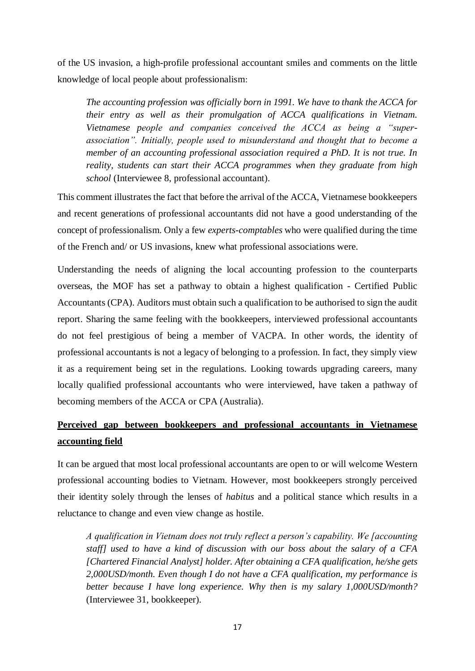of the US invasion, a high-profile professional accountant smiles and comments on the little knowledge of local people about professionalism:

*The accounting profession was officially born in 1991. We have to thank the ACCA for their entry as well as their promulgation of ACCA qualifications in Vietnam. Vietnamese people and companies conceived the ACCA as being a "superassociation". Initially, people used to misunderstand and thought that to become a member of an accounting professional association required a PhD. It is not true. In reality, students can start their ACCA programmes when they graduate from high school* (Interviewee 8, professional accountant).

This comment illustrates the fact that before the arrival of the ACCA, Vietnamese bookkeepers and recent generations of professional accountants did not have a good understanding of the concept of professionalism. Only a few *experts-comptables* who were qualified during the time of the French and/ or US invasions, knew what professional associations were.

Understanding the needs of aligning the local accounting profession to the counterparts overseas, the MOF has set a pathway to obtain a highest qualification - Certified Public Accountants (CPA). Auditors must obtain such a qualification to be authorised to sign the audit report. Sharing the same feeling with the bookkeepers, interviewed professional accountants do not feel prestigious of being a member of VACPA. In other words, the identity of professional accountants is not a legacy of belonging to a profession. In fact, they simply view it as a requirement being set in the regulations. Looking towards upgrading careers, many locally qualified professional accountants who were interviewed, have taken a pathway of becoming members of the ACCA or CPA (Australia).

## **Perceived gap between bookkeepers and professional accountants in Vietnamese accounting field**

It can be argued that most local professional accountants are open to or will welcome Western professional accounting bodies to Vietnam. However, most bookkeepers strongly perceived their identity solely through the lenses of *habitus* and a political stance which results in a reluctance to change and even view change as hostile.

*A qualification in Vietnam does not truly reflect a person's capability. We [accounting staff] used to have a kind of discussion with our boss about the salary of a CFA [Chartered Financial Analyst] holder. After obtaining a CFA qualification, he/she gets 2,000USD/month. Even though I do not have a CFA qualification, my performance is better because I have long experience. Why then is my salary 1,000USD/month?* (Interviewee 31, bookkeeper).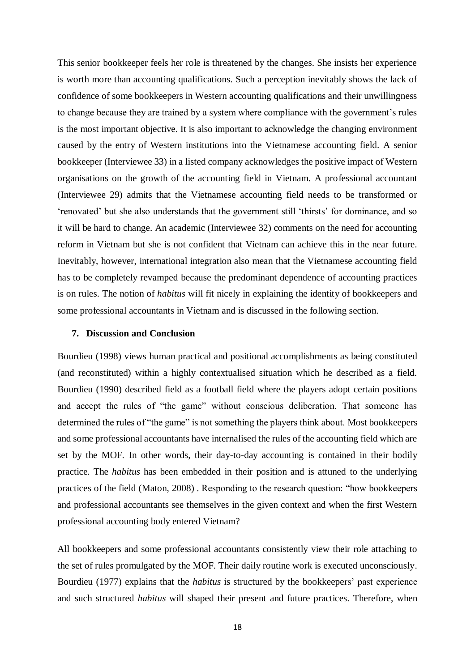This senior bookkeeper feels her role is threatened by the changes. She insists her experience is worth more than accounting qualifications. Such a perception inevitably shows the lack of confidence of some bookkeepers in Western accounting qualifications and their unwillingness to change because they are trained by a system where compliance with the government's rules is the most important objective. It is also important to acknowledge the changing environment caused by the entry of Western institutions into the Vietnamese accounting field. A senior bookkeeper (Interviewee 33) in a listed company acknowledges the positive impact of Western organisations on the growth of the accounting field in Vietnam. A professional accountant (Interviewee 29) admits that the Vietnamese accounting field needs to be transformed or 'renovated' but she also understands that the government still 'thirsts' for dominance, and so it will be hard to change. An academic (Interviewee 32) comments on the need for accounting reform in Vietnam but she is not confident that Vietnam can achieve this in the near future. Inevitably, however, international integration also mean that the Vietnamese accounting field has to be completely revamped because the predominant dependence of accounting practices is on rules. The notion of *habitus* will fit nicely in explaining the identity of bookkeepers and some professional accountants in Vietnam and is discussed in the following section.

#### **7. Discussion and Conclusion**

Bourdieu [\(1998\)](#page-19-16) views human practical and positional accomplishments as being constituted (and reconstituted) within a highly contextualised situation which he described as a field. Bourdieu [\(1990\)](#page-19-15) described field as a football field where the players adopt certain positions and accept the rules of "the game" without conscious deliberation. That someone has determined the rules of "the game" is not something the players think about. Most bookkeepers and some professional accountants have internalised the rules of the accounting field which are set by the MOF. In other words, their day-to-day accounting is contained in their bodily practice. The *habitus* has been embedded in their position and is attuned to the underlying practices of the field [\(Maton, 2008\)](#page-20-18) . Responding to the research question: "how bookkeepers and professional accountants see themselves in the given context and when the first Western professional accounting body entered Vietnam?

All bookkeepers and some professional accountants consistently view their role attaching to the set of rules promulgated by the MOF. Their daily routine work is executed unconsciously. Bourdieu (1977) explains that the *habitus* is structured by the bookkeepers' past experience and such structured *habitus* will shaped their present and future practices. Therefore, when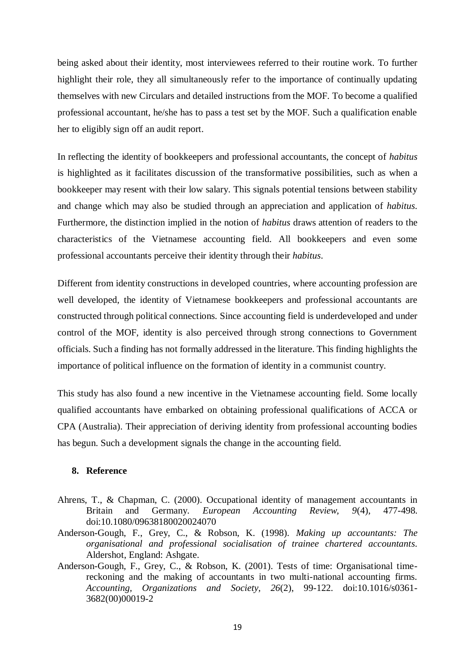being asked about their identity, most interviewees referred to their routine work. To further highlight their role, they all simultaneously refer to the importance of continually updating themselves with new Circulars and detailed instructions from the MOF. To become a qualified professional accountant, he/she has to pass a test set by the MOF. Such a qualification enable her to eligibly sign off an audit report.

In reflecting the identity of bookkeepers and professional accountants, the concept of *habitus* is highlighted as it facilitates discussion of the transformative possibilities, such as when a bookkeeper may resent with their low salary. This signals potential tensions between stability and change which may also be studied through an appreciation and application of *habitus*. Furthermore, the distinction implied in the notion of *habitus* draws attention of readers to the characteristics of the Vietnamese accounting field. All bookkeepers and even some professional accountants perceive their identity through their *habitus*.

Different from identity constructions in developed countries, where accounting profession are well developed, the identity of Vietnamese bookkeepers and professional accountants are constructed through political connections. Since accounting field is underdeveloped and under control of the MOF, identity is also perceived through strong connections to Government officials. Such a finding has not formally addressed in the literature. This finding highlights the importance of political influence on the formation of identity in a communist country.

This study has also found a new incentive in the Vietnamese accounting field. Some locally qualified accountants have embarked on obtaining professional qualifications of ACCA or CPA (Australia). Their appreciation of deriving identity from professional accounting bodies has begun. Such a development signals the change in the accounting field.

#### **8. Reference**

- <span id="page-18-0"></span>Ahrens, T., & Chapman, C. (2000). Occupational identity of management accountants in Britain and Germany. *European Accounting Review, 9*(4), 477-498. doi:10.1080/09638180020024070
- <span id="page-18-1"></span>Anderson-Gough, F., Grey, C., & Robson, K. (1998). *Making up accountants: The organisational and professional socialisation of trainee chartered accountants*. Aldershot, England: Ashgate.
- <span id="page-18-2"></span>Anderson-Gough, F., Grey, C., & Robson, K. (2001). Tests of time: Organisational timereckoning and the making of accountants in two multi-national accounting firms. *Accounting, Organizations and Society, 26*(2), 99-122. doi:10.1016/s0361- 3682(00)00019-2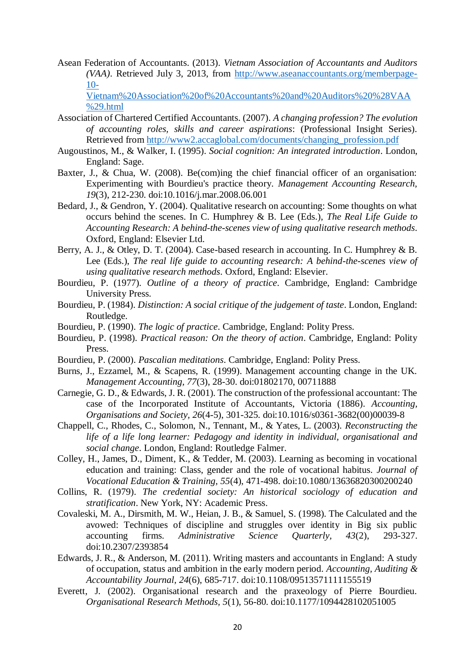<span id="page-19-1"></span>Asean Federation of Accountants. (2013). *Vietnam Association of Accountants and Auditors (VAA)*. Retrieved July 3, 2013, from [http://www.aseanaccountants.org/memberpage-](http://www.aseanaccountants.org/memberpage-10-Vietnam%20Association%20of%20Accountants%20and%20Auditors%20%28VAA%29.html) $10-$ 

[Vietnam%20Association%20of%20Accountants%20and%20Auditors%20%28VAA](http://www.aseanaccountants.org/memberpage-10-Vietnam%20Association%20of%20Accountants%20and%20Auditors%20%28VAA%29.html) [%29.html](http://www.aseanaccountants.org/memberpage-10-Vietnam%20Association%20of%20Accountants%20and%20Auditors%20%28VAA%29.html)

- <span id="page-19-3"></span>Association of Chartered Certified Accountants. (2007). *A changing profession? The evolution of accounting roles, skills and career aspirations*: (Professional Insight Series). Retrieved from [http://www2.accaglobal.com/documents/changing\\_profession.pdf](http://www2.accaglobal.com/documents/changing_profession.pdf)
- <span id="page-19-9"></span>Augoustinos, M., & Walker, I. (1995). *Social cognition: An integrated introduction*. London, England: Sage.
- <span id="page-19-5"></span>Baxter, J., & Chua, W. (2008). Be(com)ing the chief financial officer of an organisation: Experimenting with Bourdieu's practice theory. *Management Accounting Research, 19*(3), 212-230. doi:10.1016/j.mar.2008.06.001
- <span id="page-19-12"></span>Bedard, J., & Gendron, Y. (2004). Qualitative research on accounting: Some thoughts on what occurs behind the scenes. In C. Humphrey & B. Lee (Eds.), *The Real Life Guide to Accounting Research: A behind-the-scenes view of using qualitative research methods*. Oxford, England: Elsevier Ltd.
- <span id="page-19-11"></span>Berry, A. J., & Otley, D. T. (2004). Case-based research in accounting. In C. Humphrey & B. Lee (Eds.), *The real life guide to accounting research: A behind-the-scenes view of using qualitative research methods*. Oxford, England: Elsevier.
- <span id="page-19-14"></span>Bourdieu, P. (1977). *Outline of a theory of practice*. Cambridge, England: Cambridge University Press.
- <span id="page-19-17"></span>Bourdieu, P. (1984). *Distinction: A social critique of the judgement of taste*. London, England: Routledge.
- <span id="page-19-15"></span>Bourdieu, P. (1990). *The logic of practice*. Cambridge, England: Polity Press.
- <span id="page-19-16"></span>Bourdieu, P. (1998). *Practical reason: On the theory of action*. Cambridge, England: Polity Press.
- <span id="page-19-13"></span>Bourdieu, P. (2000). *Pascalian meditations*. Cambridge, England: Polity Press.
- <span id="page-19-2"></span>Burns, J., Ezzamel, M., & Scapens, R. (1999). Management accounting change in the UK. *Management Accounting, 77*(3), 28-30. doi:01802170, 00711888
- <span id="page-19-4"></span>Carnegie, G. D., & Edwards, J. R. (2001). The construction of the professional accountant: The case of the Incorporated Institute of Accountants, Victoria (1886). *Accounting, Organisations and Society, 26*(4-5), 301-325. doi:10.1016/s0361-3682(00)00039-8
- <span id="page-19-8"></span>Chappell, C., Rhodes, C., Solomon, N., Tennant, M., & Yates, L. (2003). *Reconstructing the life of a life long learner: Pedagogy and identity in individual, organisational and social change*. London, England: Routledge Falmer.
- <span id="page-19-10"></span>Colley, H., James, D., Diment, K., & Tedder, M. (2003). Learning as becoming in vocational education and training: Class, gender and the role of vocational habitus. *Journal of Vocational Education & Training, 55*(4), 471-498. doi:10.1080/13636820300200240
- <span id="page-19-0"></span>Collins, R. (1979). *The credential society: An historical sociology of education and stratification*. New York, NY: Academic Press.
- <span id="page-19-6"></span>Covaleski, M. A., Dirsmith, M. W., Heian, J. B., & Samuel, S. (1998). The Calculated and the avowed: Techniques of discipline and struggles over identity in Big six public accounting firms. *Administrative Science Quarterly, 43*(2), 293-327. doi:10.2307/2393854
- <span id="page-19-7"></span>Edwards, J. R., & Anderson, M. (2011). Writing masters and accountants in England: A study of occupation, status and ambition in the early modern period. *Accounting, Auditing & Accountability Journal, 24*(6), 685-717. doi:10.1108/09513571111155519
- <span id="page-19-18"></span>Everett, J. (2002). Organisational research and the praxeology of Pierre Bourdieu. *Organisational Research Methods, 5*(1), 56-80. doi:10.1177/1094428102051005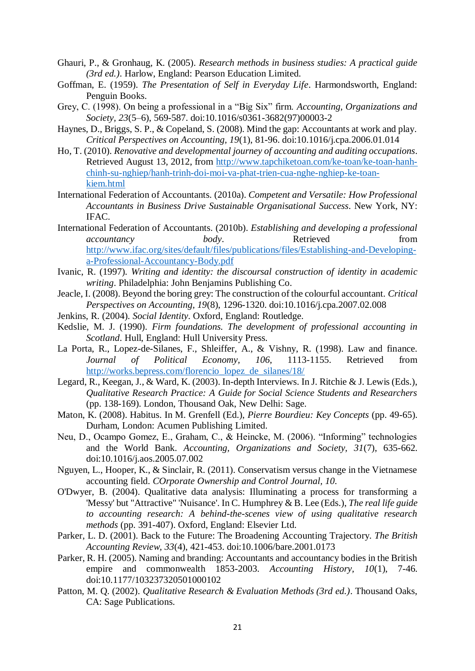- <span id="page-20-15"></span>Ghauri, P., & Gronhaug, K. (2005). *Research methods in business studies: A practical guide (3rd ed.)*. Harlow, England: Pearson Education Limited.
- <span id="page-20-6"></span>Goffman, E. (1959). *The Presentation of Self in Everyday Life*. Harmondsworth, England: Penguin Books.
- <span id="page-20-9"></span>Grey, C. (1998). On being a professional in a "Big Six" firm. *Accounting, Organizations and Society, 23*(5–6), 569-587. doi:10.1016/s0361-3682(97)00003-2
- <span id="page-20-8"></span>Haynes, D., Briggs, S. P., & Copeland, S. (2008). Mind the gap: Accountants at work and play. *Critical Perspectives on Accounting, 19*(1), 81-96. doi:10.1016/j.cpa.2006.01.014
- <span id="page-20-2"></span>Ho, T. (2010). *Renovative and developmental journey of accounting and auditing occupations*. Retrieved August 13, 2012, from [http://www.tapchiketoan.com/ke-toan/ke-toan-hanh](http://www.tapchiketoan.com/ke-toan/ke-toan-hanh-chinh-su-nghiep/hanh-trinh-doi-moi-va-phat-trien-cua-nghe-nghiep-ke-toan-kiem.html)[chinh-su-nghiep/hanh-trinh-doi-moi-va-phat-trien-cua-nghe-nghiep-ke-toan](http://www.tapchiketoan.com/ke-toan/ke-toan-hanh-chinh-su-nghiep/hanh-trinh-doi-moi-va-phat-trien-cua-nghe-nghiep-ke-toan-kiem.html)[kiem.html](http://www.tapchiketoan.com/ke-toan/ke-toan-hanh-chinh-su-nghiep/hanh-trinh-doi-moi-va-phat-trien-cua-nghe-nghiep-ke-toan-kiem.html)
- <span id="page-20-5"></span>International Federation of Accountants. (2010a). *Competent and Versatile: How Professional Accountants in Business Drive Sustainable Organisational Success*. New York, NY: IFAC.
- <span id="page-20-3"></span>International Federation of Accountants. (2010b). *Establishing and developing a professional accountancy body*. Retrieved **from** [http://www.ifac.org/sites/default/files/publications/files/Establishing-and-Developing](http://www.ifac.org/sites/default/files/publications/files/Establishing-and-Developing-a-Professional-Accountancy-Body.pdf)[a-Professional-Accountancy-Body.pdf](http://www.ifac.org/sites/default/files/publications/files/Establishing-and-Developing-a-Professional-Accountancy-Body.pdf)
- <span id="page-20-13"></span>Ivanic, R. (1997). *Writing and identity: the discoursal construction of identity in academic writing*. Philadelphia: John Benjamins Publishing Co.
- <span id="page-20-7"></span>Jeacle, I. (2008). Beyond the boring grey: The construction of the colourful accountant. *Critical Perspectives on Accounting, 19*(8), 1296-1320. doi:10.1016/j.cpa.2007.02.008
- <span id="page-20-12"></span>Jenkins, R. (2004). *Social Identity*. Oxford, England: Routledge.
- <span id="page-20-10"></span>Kedslie, M. J. (1990). *Firm foundations. The development of professional accounting in Scotland*. Hull, England: Hull University Press.
- <span id="page-20-0"></span>La Porta, R., Lopez-de-Silanes, F., Shleiffer, A., & Vishny, R. (1998). Law and finance. *Journal of Political Economy, 106*, 1113-1155. Retrieved from [http://works.bepress.com/florencio\\_lopez\\_de\\_silanes/18/](http://works.bepress.com/florencio_lopez_de_silanes/18/)
- <span id="page-20-16"></span>Legard, R., Keegan, J., & Ward, K. (2003). In-depth Interviews. In J. Ritchie & J. Lewis (Eds.), *Qualitative Research Practice: A Guide for Social Science Students and Researchers* (pp. 138-169). London, Thousand Oak, New Delhi: Sage.
- <span id="page-20-18"></span>Maton, K. (2008). Habitus. In M. Grenfell (Ed.), *Pierre Bourdieu: Key Concepts* (pp. 49-65). Durham, London: Acumen Publishing Limited.
- <span id="page-20-19"></span>Neu, D., Ocampo Gomez, E., Graham, C., & Heincke, M. (2006). "Informing" technologies and the World Bank. *Accounting, Organizations and Society, 31*(7), 635-662. doi:10.1016/j.aos.2005.07.002
- <span id="page-20-1"></span>Nguyen, L., Hooper, K., & Sinclair, R. (2011). Conservatism versus change in the Vietnamese accounting field. *COrporate Ownership and Control Journal, 10*.
- <span id="page-20-17"></span>O'Dwyer, B. (2004). Qualitative data analysis: Illuminating a process for transforming a 'Messy' but "Attractive" 'Nuisance'. In C. Humphrey & B. Lee (Eds.), *The real life guide to accounting research: A behind-the-scenes view of using qualitative research methods* (pp. 391-407). Oxford, England: Elsevier Ltd.
- <span id="page-20-4"></span>Parker, L. D. (2001). Back to the Future: The Broadening Accounting Trajectory. *The British Accounting Review, 33*(4), 421-453. doi:10.1006/bare.2001.0173
- <span id="page-20-11"></span>Parker, R. H. (2005). Naming and branding: Accountants and accountancy bodies in the British empire and commonwealth 1853-2003. *Accounting History, 10*(1), 7-46. doi:10.1177/103237320501000102
- <span id="page-20-14"></span>Patton, M. Q. (2002). *Qualitative Research & Evaluation Methods (3rd ed.)*. Thousand Oaks, CA: Sage Publications.